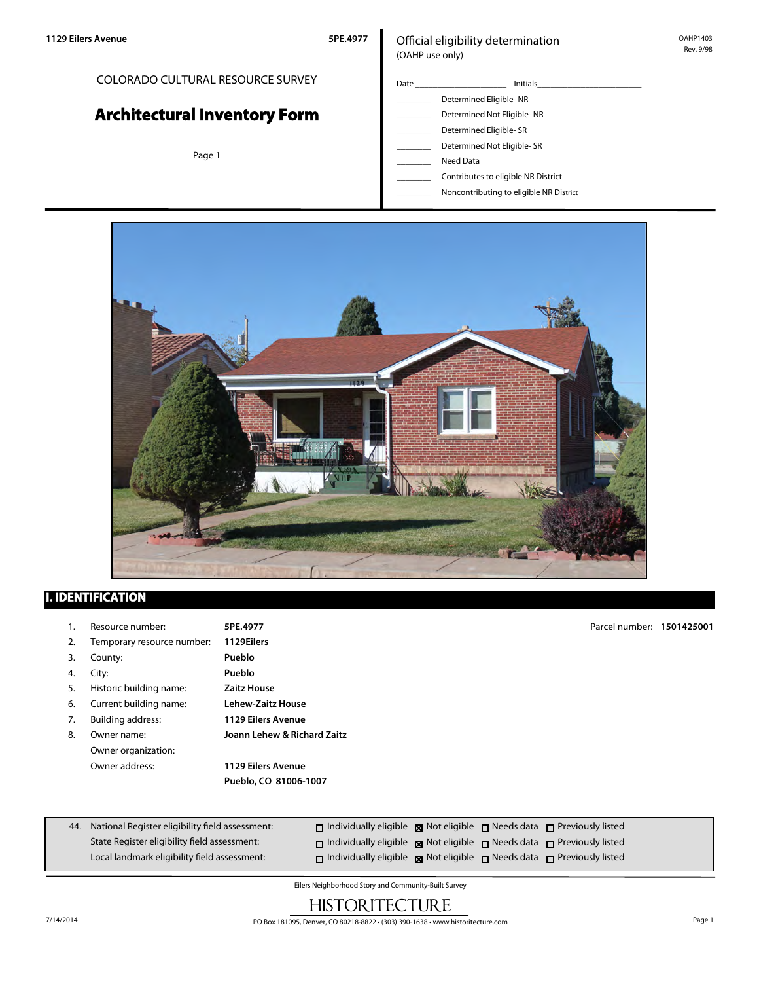# COLORADO CULTURAL RESOURCE SURVEY

# **Architectural Inventory Form**

Page 1

#### Official eligibility determination (OAHP use only)

| Date | <b>Initials</b>            |
|------|----------------------------|
|      | Determined Eligible-NR     |
|      | Determined Not Eligible-NR |
|      | Determined Eligible-SR     |
|      | Determined Not Eligible-SR |

- \_\_\_\_\_\_\_\_ Need Data
- \_\_\_\_\_\_\_\_ Contributes to eligible NR District
- \_\_\_\_\_\_\_\_ Noncontributing to eligible NR District



## **I. IDENTIFICATION**

- 1. Resource number: **5PE.4977**
- 2. Temporary resource number: **1129Eilers**
- 3. County: **Pueblo**
- 4. City: **Pueblo**
- 5. Historic building name: **Zaitz House**
- 6. Current building name: **Lehew-Zaitz House**
- 7. Building address: **1129 Eilers Avenue**
- 8. Owner name: **Joann Lehew & Richard Zaitz** Owner organization:
	- Owner address: **1129 Eilers Avenue Pueblo, CO 81006-1007**

Parcel number: **1501425001**

| 44. National Register eligibility field assessment: | $\Box$ Individually eligible $\boxtimes$ Not eligible $\Box$ Needs data $\Box$ Previously listed |  |  |
|-----------------------------------------------------|--------------------------------------------------------------------------------------------------|--|--|
| State Register eligibility field assessment:        | $\Box$ Individually eligible $\boxtimes$ Not eligible $\Box$ Needs data $\Box$ Previously listed |  |  |
| Local landmark eligibility field assessment:        | $\Box$ Individually eligible $\boxtimes$ Not eligible $\Box$ Needs data $\Box$ Previously listed |  |  |

Eilers Neighborhood Story and Community-Built Survey

# **HISTORITECTURE**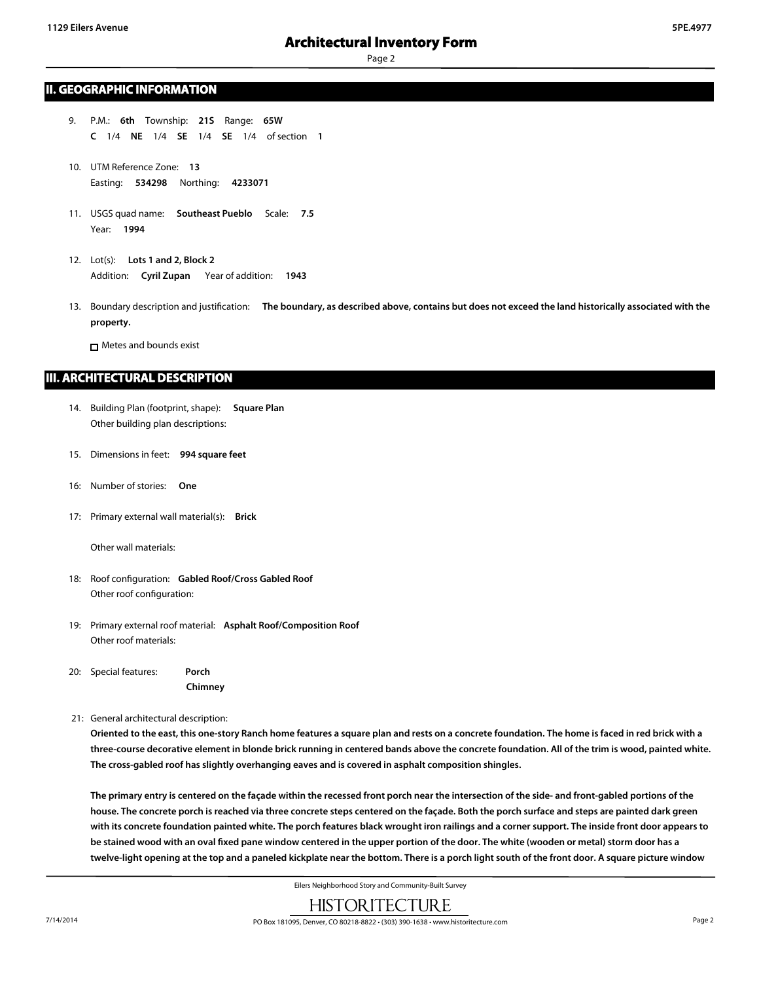#### **II. GEOGRAPHIC INFORMATION**

- 9. P.M.: **6th** Township: **21S** Range: **65W C** 1/4 **NE** 1/4 **SE** 1/4 **SE** 1/4 of section **1**
- 10. UTM Reference Zone: **13** Easting: **534298** Northing: **4233071**
- 11. USGS quad name: **Southeast Pueblo** Scale: **7.5** Year: **1994**
- 12. Lot(s): **Lots 1 and 2, Block 2** Addition: **Cyril Zupan** Year of addition: **1943**
- 13. Boundary description and justification: **The boundary, as described above, contains but does not exceed the land historically associated with the property.**

Metes and bounds exist

#### **III. ARCHITECTURAL DESCRIPTION**

- 14. Building Plan (footprint, shape): **Square Plan** Other building plan descriptions:
- 15. Dimensions in feet: **994 square feet**
- 16: Number of stories: **One**
- 17: Primary external wall material(s): **Brick**

Other wall materials:

- 18: Roof configuration: **Gabled Roof/Cross Gabled Roof** Other roof configuration:
- 19: Primary external roof material: **Asphalt Roof/Composition Roof** Other roof materials:
- 20: Special features: **Porch**

**Chimney**

21: General architectural description:

**Oriented to the east, this one-story Ranch home features a square plan and rests on a concrete foundation. The home is faced in red brick with a three-course decorative element in blonde brick running in centered bands above the concrete foundation. All of the trim is wood, painted white. The cross-gabled roof has slightly overhanging eaves and is covered in asphalt composition shingles.**

**The primary entry is centered on the façade within the recessed front porch near the intersection of the side- and front-gabled portions of the house. The concrete porch is reached via three concrete steps centered on the façade. Both the porch surface and steps are painted dark green with its concrete foundation painted white. The porch features black wrought iron railings and a corner support. The inside front door appears to be stained wood with an oval fixed pane window centered in the upper portion of the door. The white (wooden or metal) storm door has a twelve-light opening at the top and a paneled kickplate near the bottom. There is a porch light south of the front door. A square picture window**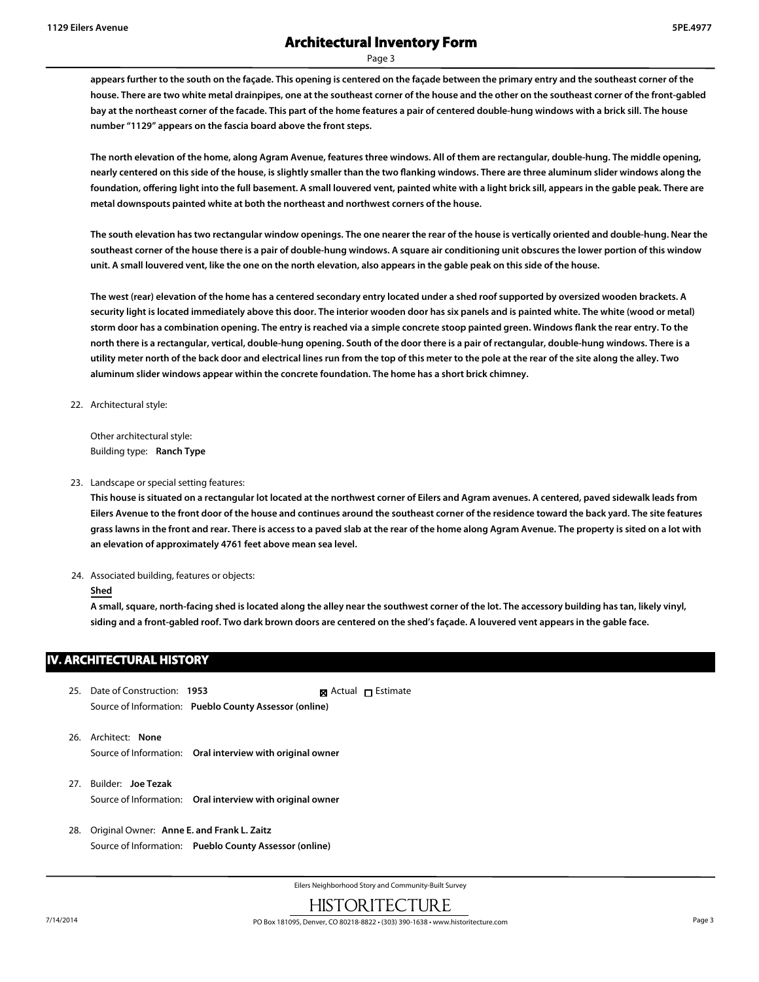**appears further to the south on the façade. This opening is centered on the façade between the primary entry and the southeast corner of the house. There are two white metal drainpipes, one at the southeast corner of the house and the other on the southeast corner of the front-gabled bay at the northeast corner of the facade. This part of the home features a pair of centered double-hung windows with a brick sill. The house number "1129" appears on the fascia board above the front steps.**

**The north elevation of the home, along Agram Avenue, features three windows. All of them are rectangular, double-hung. The middle opening, nearly centered on this side of the house, is slightly smaller than the two flanking windows. There are three aluminum slider windows along the foundation, offering light into the full basement. A small louvered vent, painted white with a light brick sill, appears in the gable peak. There are metal downspouts painted white at both the northeast and northwest corners of the house.**

**The south elevation has two rectangular window openings. The one nearer the rear of the house is vertically oriented and double-hung. Near the southeast corner of the house there is a pair of double-hung windows. A square air conditioning unit obscures the lower portion of this window unit. A small louvered vent, like the one on the north elevation, also appears in the gable peak on this side of the house.**

**The west (rear) elevation of the home has a centered secondary entry located under a shed roof supported by oversized wooden brackets. A security light is located immediately above this door. The interior wooden door has six panels and is painted white. The white (wood or metal) storm door has a combination opening. The entry is reached via a simple concrete stoop painted green. Windows flank the rear entry. To the north there is a rectangular, vertical, double-hung opening. South of the door there is a pair of rectangular, double-hung windows. There is a utility meter north of the back door and electrical lines run from the top of this meter to the pole at the rear of the site along the alley. Two aluminum slider windows appear within the concrete foundation. The home has a short brick chimney.**

22. Architectural style:

Other architectural style: Building type: **Ranch Type**

23. Landscape or special setting features:

**This house is situated on a rectangular lot located at the northwest corner of Eilers and Agram avenues. A centered, paved sidewalk leads from Eilers Avenue to the front door of the house and continues around the southeast corner of the residence toward the back yard. The site features grass lawns in the front and rear. There is access to a paved slab at the rear of the home along Agram Avenue. The property is sited on a lot with an elevation of approximately 4761 feet above mean sea level.**

24. Associated building, features or objects:

#### **Shed**

**A small, square, north-facing shed is located along the alley near the southwest corner of the lot. The accessory building has tan, likely vinyl, siding and a front-gabled roof. Two dark brown doors are centered on the shed's façade. A louvered vent appears in the gable face.**

### **IV. ARCHITECTURAL HISTORY**

- 25. Date of Construction: **1953** Source of Information: **Pueblo County Assessor (online)** ■ Actual □ Estimate
- 26. Architect: **None** Source of Information: **Oral interview with original owner**
- 27. Builder: **Joe Tezak** Source of Information: **Oral interview with original owner**
- 28. Original Owner: **Anne E. and Frank L. Zaitz** Source of Information: **Pueblo County Assessor (online)**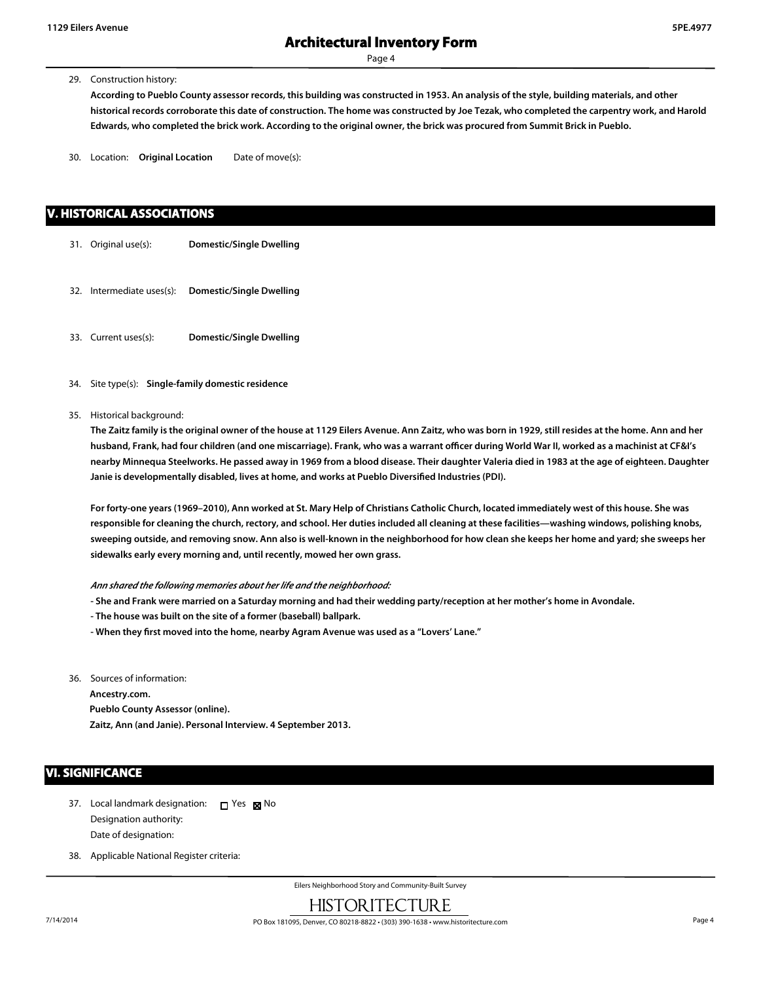29. Construction history:

**According to Pueblo County assessor records, this building was constructed in 1953. An analysis of the style, building materials, and other historical records corroborate this date of construction. The home was constructed by Joe Tezak, who completed the carpentry work, and Harold Edwards, who completed the brick work. According to the original owner, the brick was procured from Summit Brick in Pueblo.**

30. Location: **Original Location** Date of move(s):

#### **V. HISTORICAL ASSOCIATIONS**

- 31. Original use(s): **Domestic/Single Dwelling**
- 32. Intermediate uses(s): **Domestic/Single Dwelling**
- 33. Current uses(s): **Domestic/Single Dwelling**
- 34. Site type(s): **Single-family domestic residence**
- 35. Historical background:

**The Zaitz family is the original owner of the house at 1129 Eilers Avenue. Ann Zaitz, who was born in 1929, still resides at the home. Ann and her husband, Frank, had four children (and one miscarriage). Frank, who was a warrant officer during World War II, worked as a machinist at CF&I's nearby Minnequa Steelworks. He passed away in 1969 from a blood disease. Their daughter Valeria died in 1983 at the age of eighteen. Daughter Janie is developmentally disabled, lives at home, and works at Pueblo Diversified Industries (PDI).**

**For forty-one years (1969–2010), Ann worked at St. Mary Help of Christians Catholic Church, located immediately west of this house. She was responsible for cleaning the church, rectory, and school. Her duties included all cleaning at these facilities—washing windows, polishing knobs, sweeping outside, and removing snow. Ann also is well-known in the neighborhood for how clean she keeps her home and yard; she sweeps her sidewalks early every morning and, until recently, mowed her own grass.**

#### *Ann shared the following memories about her life and the neighborhood:*

- **She and Frank were married on a Saturday morning and had their wedding party/reception at her mother's home in Avondale.**
- **The house was built on the site of a former (baseball) ballpark.**
- **When they first moved into the home, nearby Agram Avenue was used as a "Lovers' Lane."**
- 36. Sources of information:

**Ancestry.com. Pueblo County Assessor (online). Zaitz, Ann (and Janie). Personal Interview. 4 September 2013.**

#### **VI. SIGNIFICANCE**

- 37. Local landmark designation:  $\Box$  Yes  $\boxtimes$  No Designation authority: Date of designation:
- 38. Applicable National Register criteria: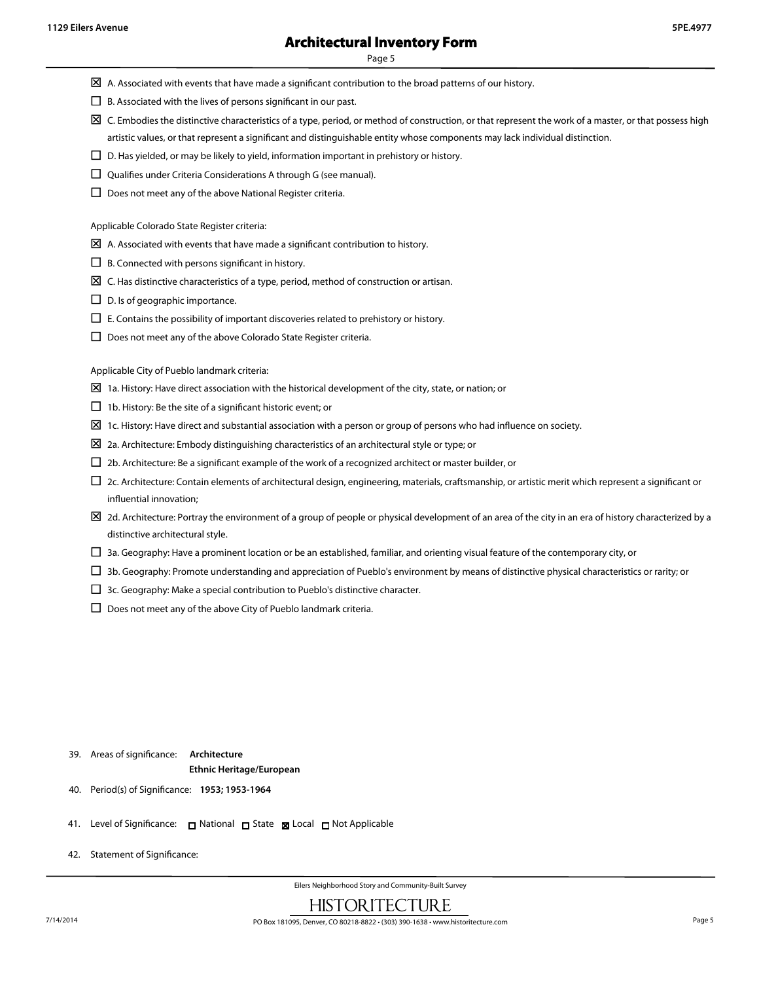- $\boxtimes$  A. Associated with events that have made a significant contribution to the broad patterns of our history.
- $\square$  B. Associated with the lives of persons significant in our past.
- $\boxtimes$  C. Embodies the distinctive characteristics of a type, period, or method of construction, or that represent the work of a master, or that possess high artistic values, or that represent a significant and distinguishable entity whose components may lack individual distinction.
- $\square$  D. Has yielded, or may be likely to yield, information important in prehistory or history.
- $\square$  Qualifies under Criteria Considerations A through G (see manual).
- $\square$  Does not meet any of the above National Register criteria.

Applicable Colorado State Register criteria:

- $\boxtimes$  A. Associated with events that have made a significant contribution to history.
- $\Box$  B. Connected with persons significant in history.
- $\boxtimes$  C. Has distinctive characteristics of a type, period, method of construction or artisan.
- $\square$  D. Is of geographic importance.
- $\square$  E. Contains the possibility of important discoveries related to prehistory or history.
- $\square$  Does not meet any of the above Colorado State Register criteria.

Applicable City of Pueblo landmark criteria:

- $\boxtimes$  1a. History: Have direct association with the historical development of the city, state, or nation; or
- $\Box$  1b. History: Be the site of a significant historic event; or
- $\Sigma$  1c. History: Have direct and substantial association with a person or group of persons who had influence on society.
- $\Sigma$  2a. Architecture: Embody distinguishing characteristics of an architectural style or type; or
- $\square$  2b. Architecture: Be a significant example of the work of a recognized architect or master builder, or
- $\Box$  2c. Architecture: Contain elements of architectural design, engineering, materials, craftsmanship, or artistic merit which represent a significant or influential innovation;
- $\boxtimes$  2d. Architecture: Portray the environment of a group of people or physical development of an area of the city in an era of history characterized by a distinctive architectural style.
- $\Box$  3a. Geography: Have a prominent location or be an established, familiar, and orienting visual feature of the contemporary city, or
- $\Box$  3b. Geography: Promote understanding and appreciation of Pueblo's environment by means of distinctive physical characteristics or rarity; or
- $\square$  3c. Geography: Make a special contribution to Pueblo's distinctive character.
- $\square$  Does not meet any of the above City of Pueblo landmark criteria.

#### 39. Areas of significance: **Architecture Ethnic Heritage/European**

- 40. Period(s) of Significance: **1953; 1953-1964**
- 41. Level of Significance: □ National □ State 図 Local □ Not Applicable
- 42. Statement of Significance: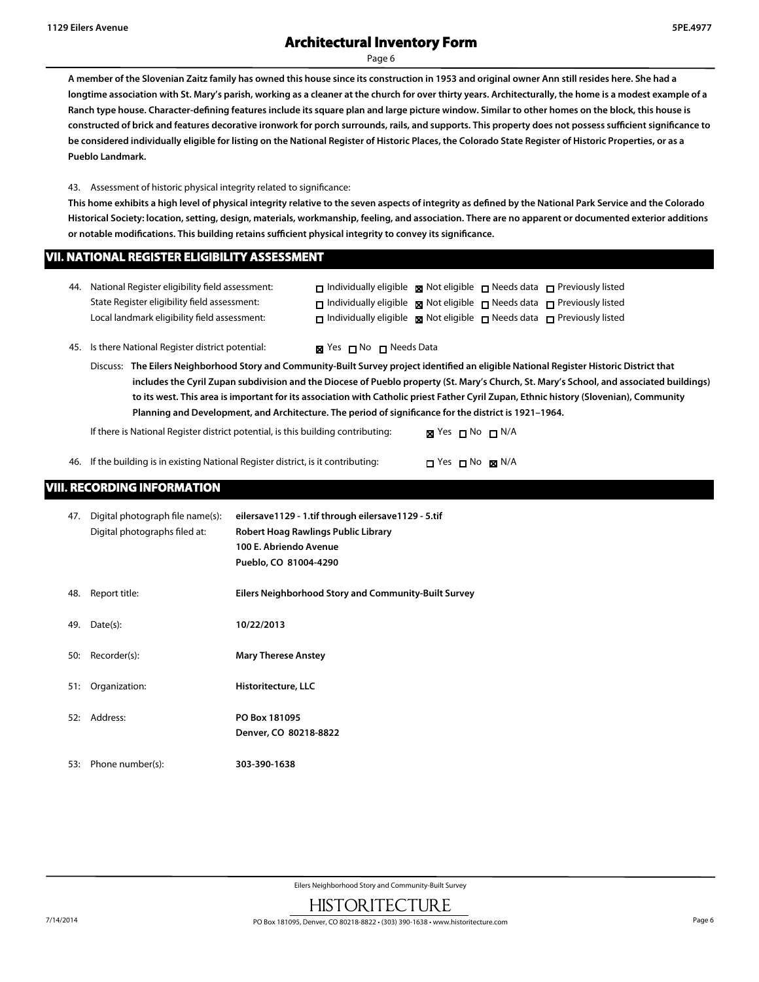# **Architectural Inventory Form**

Page 6

**A member of the Slovenian Zaitz family has owned this house since its construction in 1953 and original owner Ann still resides here. She had a longtime association with St. Mary's parish, working as a cleaner at the church for over thirty years. Architecturally, the home is a modest example of a Ranch type house. Character-defining features include its square plan and large picture window. Similar to other homes on the block, this house is constructed of brick and features decorative ironwork for porch surrounds, rails, and supports. This property does not possess sufficient significance to be considered individually eligible for listing on the National Register of Historic Places, the Colorado State Register of Historic Properties, or as a Pueblo Landmark.**

43. Assessment of historic physical integrity related to significance:

**This home exhibits a high level of physical integrity relative to the seven aspects of integrity as defined by the National Park Service and the Colorado Historical Society: location, setting, design, materials, workmanship, feeling, and association. There are no apparent or documented exterior additions or notable modifications. This building retains sufficient physical integrity to convey its significance.**

#### **VII. NATIONAL REGISTER ELIGIBILITY ASSESSMENT**

| 44. National Register eligibility field assessment: | $\Box$ Individually eligible $\boxtimes$ Not eligible $\Box$ Needs data $\Box$ Previously listed |  |  |
|-----------------------------------------------------|--------------------------------------------------------------------------------------------------|--|--|
| State Register eligibility field assessment:        | $\Box$ Individually eligible $\Box$ Not eligible $\Box$ Needs data $\Box$ Previously listed      |  |  |
| Local landmark eligibility field assessment:        | $\Box$ Individually eligible $\Box$ Not eligible $\Box$ Needs data $\Box$ Previously listed      |  |  |

45. Is there National Register district potential:  $\blacksquare$  Yes  $\blacksquare$  No  $\blacksquare$  Needs Data

Discuss: **The Eilers Neighborhood Story and Community-Built Survey project identified an eligible National Register Historic District that includes the Cyril Zupan subdivision and the Diocese of Pueblo property (St. Mary's Church, St. Mary's School, and associated buildings) to its west. This area is important for its association with Catholic priest Father Cyril Zupan, Ethnic history (Slovenian), Community Planning and Development, and Architecture. The period of significance for the district is 1921–1964.**

If there is National Register district potential, is this building contributing: **x** Yes  $\Box$  No  $\Box$  N/A

46. If the building is in existing National Register district, is it contributing:  $\square$  Yes  $\square$  No  $\square$  N/A

## **VIII. RECORDING INFORMATION**

| 47. | Digital photograph file name(s):<br>Digital photographs filed at: | eilersave1129 - 1.tif through eilersave1129 - 5.tif<br>Robert Hoag Rawlings Public Library<br>100 E. Abriendo Avenue<br>Pueblo, CO 81004-4290 |
|-----|-------------------------------------------------------------------|-----------------------------------------------------------------------------------------------------------------------------------------------|
| 48. | Report title:                                                     | Eilers Neighborhood Story and Community-Built Survey                                                                                          |
| 49. | Date(s):                                                          | 10/22/2013                                                                                                                                    |
| 50: | Recorder(s):                                                      | <b>Mary Therese Anstey</b>                                                                                                                    |
| 51: | Organization:                                                     | Historitecture, LLC                                                                                                                           |
| 52: | Address:                                                          | PO Box 181095<br>Denver, CO 80218-8822                                                                                                        |
| 53: | Phone number(s):                                                  | 303-390-1638                                                                                                                                  |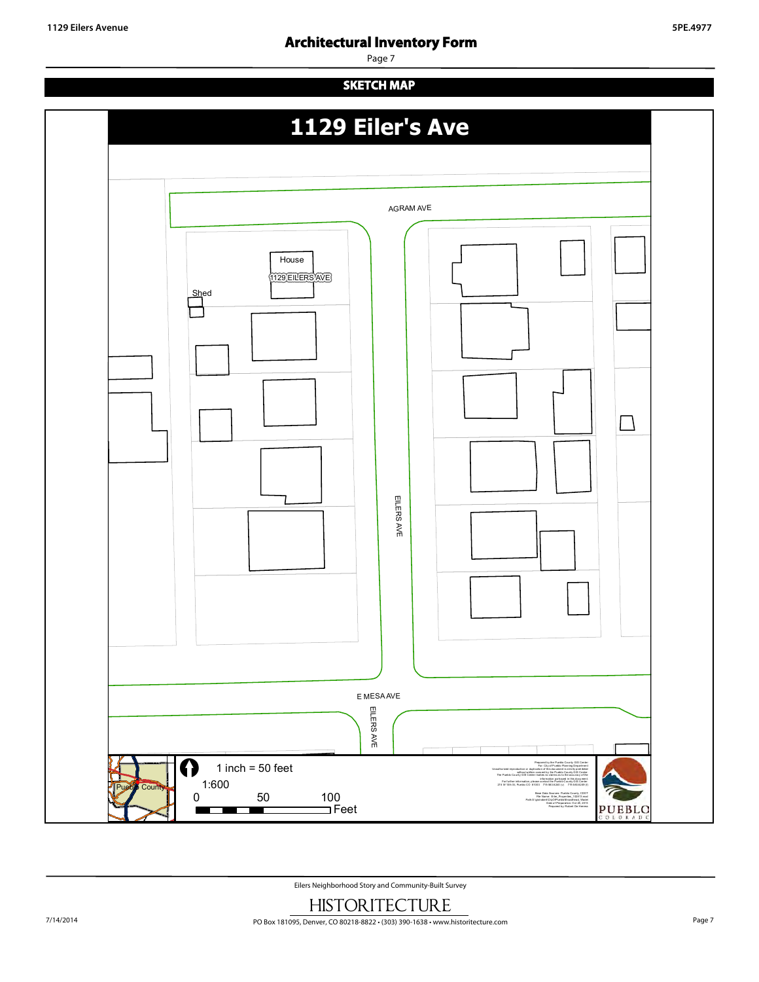# **Architectural Inventory Form**

# Page 7 House 1129 EILERS AVE AGRAM AVE **1129 Eiler's Ave SKETCH MAP**